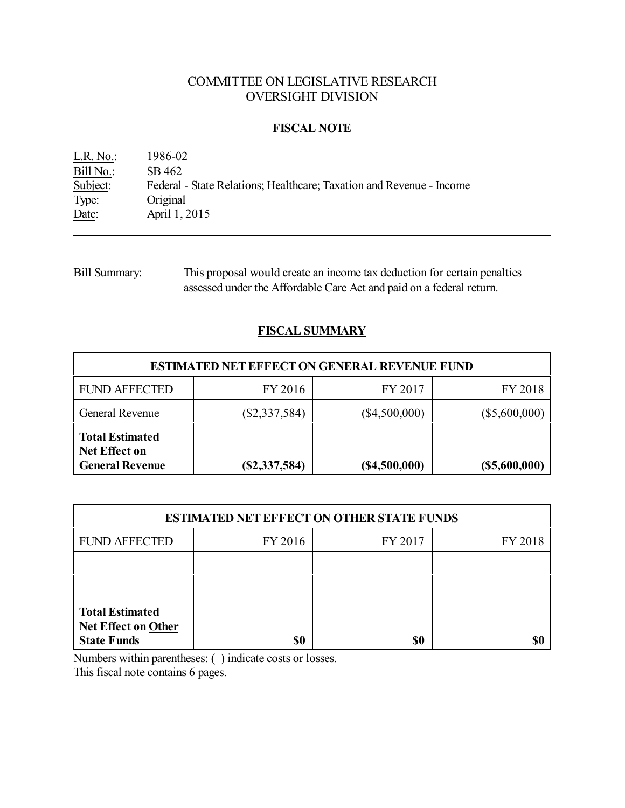# COMMITTEE ON LEGISLATIVE RESEARCH OVERSIGHT DIVISION

### **FISCAL NOTE**

| $L.R. No.$ : | 1986-02                                                              |
|--------------|----------------------------------------------------------------------|
| Bill No.:    | SB 462                                                               |
| Subject:     | Federal - State Relations; Healthcare; Taxation and Revenue - Income |
| Type:        | Original                                                             |
| Date:        | April 1, 2015                                                        |

Bill Summary: This proposal would create an income tax deduction for certain penalties assessed under the Affordable Care Act and paid on a federal return.

# **FISCAL SUMMARY**

| <b>ESTIMATED NET EFFECT ON GENERAL REVENUE FUND</b>                      |                 |                 |                 |  |  |
|--------------------------------------------------------------------------|-----------------|-----------------|-----------------|--|--|
| <b>FUND AFFECTED</b>                                                     | FY 2016         | FY 2017         | FY 2018         |  |  |
| General Revenue                                                          | $(\$2,337,584)$ | $(\$4,500,000)$ | $(\$5,600,000)$ |  |  |
| <b>Total Estimated</b><br><b>Net Effect on</b><br><b>General Revenue</b> | $(\$2,337,584)$ | (S4,500,000)    | $(\$5,600,000)$ |  |  |

| <b>ESTIMATED NET EFFECT ON OTHER STATE FUNDS</b>                           |         |         |         |  |  |
|----------------------------------------------------------------------------|---------|---------|---------|--|--|
| <b>FUND AFFECTED</b>                                                       | FY 2016 | FY 2017 | FY 2018 |  |  |
|                                                                            |         |         |         |  |  |
|                                                                            |         |         |         |  |  |
| <b>Total Estimated</b><br><b>Net Effect on Other</b><br><b>State Funds</b> | \$0     | \$0     |         |  |  |

Numbers within parentheses: ( ) indicate costs or losses.

This fiscal note contains 6 pages.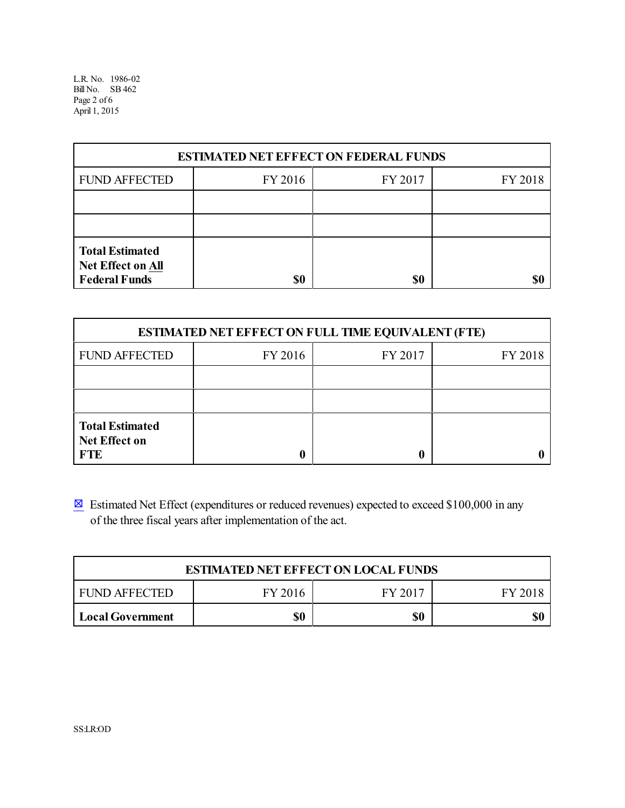L.R. No. 1986-02 BillNo. SB 462 Page 2 of 6 April 1, 2015

| <b>ESTIMATED NET EFFECT ON FEDERAL FUNDS</b>                        |         |         |         |  |  |
|---------------------------------------------------------------------|---------|---------|---------|--|--|
| <b>FUND AFFECTED</b>                                                | FY 2016 | FY 2017 | FY 2018 |  |  |
|                                                                     |         |         |         |  |  |
|                                                                     |         |         |         |  |  |
| <b>Total Estimated</b><br>Net Effect on All<br><b>Federal Funds</b> | \$0     | \$0     | S(      |  |  |

| <b>ESTIMATED NET EFFECT ON FULL TIME EQUIVALENT (FTE)</b>    |         |         |         |  |  |
|--------------------------------------------------------------|---------|---------|---------|--|--|
| <b>FUND AFFECTED</b>                                         | FY 2016 | FY 2017 | FY 2018 |  |  |
|                                                              |         |         |         |  |  |
|                                                              |         |         |         |  |  |
| <b>Total Estimated</b><br><b>Net Effect on</b><br><b>FTE</b> |         |         |         |  |  |

 $\boxtimes$  Estimated Net Effect (expenditures or reduced revenues) expected to exceed \$100,000 in any of the three fiscal years after implementation of the act.

| <b>ESTIMATED NET EFFECT ON LOCAL FUNDS</b>       |     |     |     |  |  |
|--------------------------------------------------|-----|-----|-----|--|--|
| I FUND AFFECTED<br>FY 2016<br>FY 2017<br>FY 2018 |     |     |     |  |  |
| Local Government                                 | \$0 | \$0 | \$0 |  |  |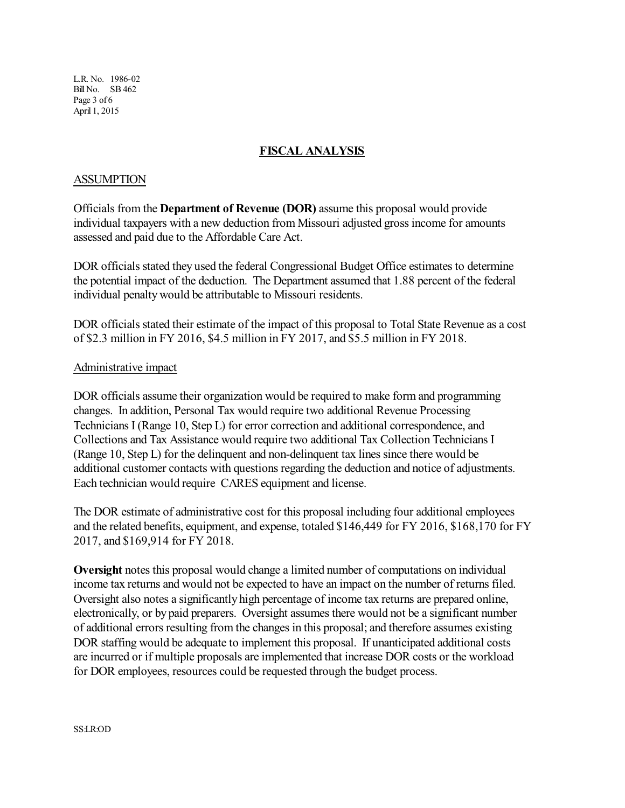L.R. No. 1986-02 BillNo. SB 462 Page 3 of 6 April 1, 2015

# **FISCAL ANALYSIS**

#### **ASSUMPTION**

Officials from the **Department of Revenue (DOR)** assume this proposal would provide individual taxpayers with a new deduction from Missouri adjusted gross income for amounts assessed and paid due to the Affordable Care Act.

DOR officials stated they used the federal Congressional Budget Office estimates to determine the potential impact of the deduction. The Department assumed that 1.88 percent of the federal individual penaltywould be attributable to Missouri residents.

DOR officials stated their estimate of the impact of this proposal to Total State Revenue as a cost of \$2.3 million in FY 2016, \$4.5 million in FY 2017, and \$5.5 million in FY 2018.

#### Administrative impact

DOR officials assume their organization would be required to make form and programming changes. In addition, Personal Tax would require two additional Revenue Processing Technicians I (Range 10, Step L) for error correction and additional correspondence, and Collections and Tax Assistance would require two additional Tax Collection Technicians I (Range 10, Step L) for the delinquent and non-delinquent tax lines since there would be additional customer contacts with questions regarding the deduction and notice of adjustments. Each technician would require CARES equipment and license.

The DOR estimate of administrative cost for this proposal including four additional employees and the related benefits, equipment, and expense, totaled \$146,449 for FY 2016, \$168,170 for FY 2017, and \$169,914 for FY 2018.

**Oversight** notes this proposal would change a limited number of computations on individual income tax returns and would not be expected to have an impact on the number of returns filed. Oversight also notes a significantly high percentage of income tax returns are prepared online, electronically, or by paid preparers. Oversight assumes there would not be a significant number of additional errors resulting from the changes in this proposal; and therefore assumes existing DOR staffing would be adequate to implement this proposal. If unanticipated additional costs are incurred or if multiple proposals are implemented that increase DOR costs or the workload for DOR employees, resources could be requested through the budget process.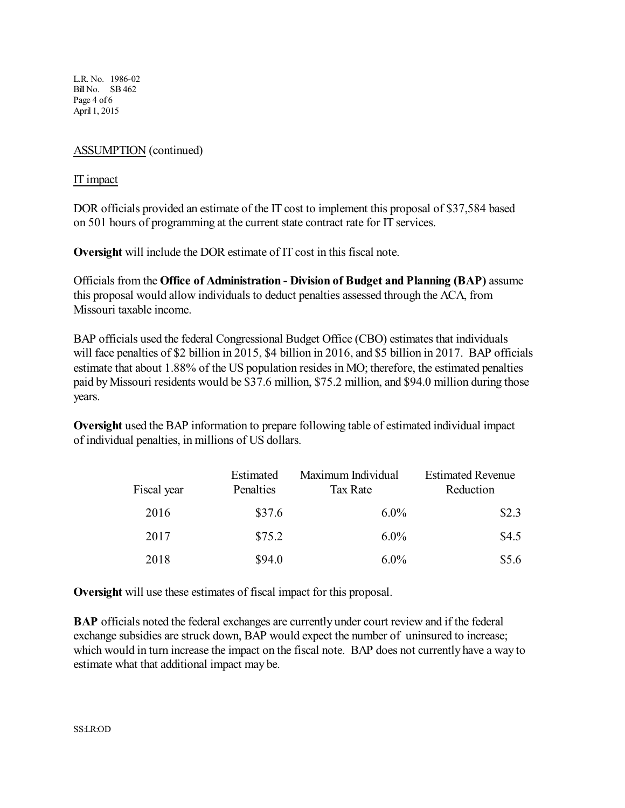L.R. No. 1986-02 BillNo. SB 462 Page 4 of 6 April 1, 2015

### ASSUMPTION (continued)

#### IT impact

DOR officials provided an estimate of the IT cost to implement this proposal of \$37,584 based on 501 hours of programming at the current state contract rate for IT services.

**Oversight** will include the DOR estimate of IT cost in this fiscal note.

Officials from the **Office of Administration - Division of Budget and Planning (BAP)** assume this proposal would allow individuals to deduct penalties assessed through the ACA, from Missouri taxable income.

BAP officials used the federal Congressional Budget Office (CBO) estimates that individuals will face penalties of \$2 billion in 2015, \$4 billion in 2016, and \$5 billion in 2017. BAP officials estimate that about 1.88% of the US population resides in MO; therefore, the estimated penalties paid byMissouri residents would be \$37.6 million, \$75.2 million, and \$94.0 million during those years.

**Oversight** used the BAP information to prepare following table of estimated individual impact of individual penalties, in millions of US dollars.

| Fiscal year | Estimated<br>Penalties | Maximum Individual<br>Tax Rate | <b>Estimated Revenue</b><br>Reduction |
|-------------|------------------------|--------------------------------|---------------------------------------|
| 2016        | \$37.6                 | $6.0\%$                        | \$2.3                                 |
| 2017        | \$75.2                 | $6.0\%$                        | \$4.5                                 |
| 2018        | \$94.0                 | $6.0\%$                        | \$5.6                                 |

**Oversight** will use these estimates of fiscal impact for this proposal.

**BAP** officials noted the federal exchanges are currently under court review and if the federal exchange subsidies are struck down, BAP would expect the number of uninsured to increase; which would in turn increase the impact on the fiscal note. BAP does not currently have a way to estimate what that additional impact may be.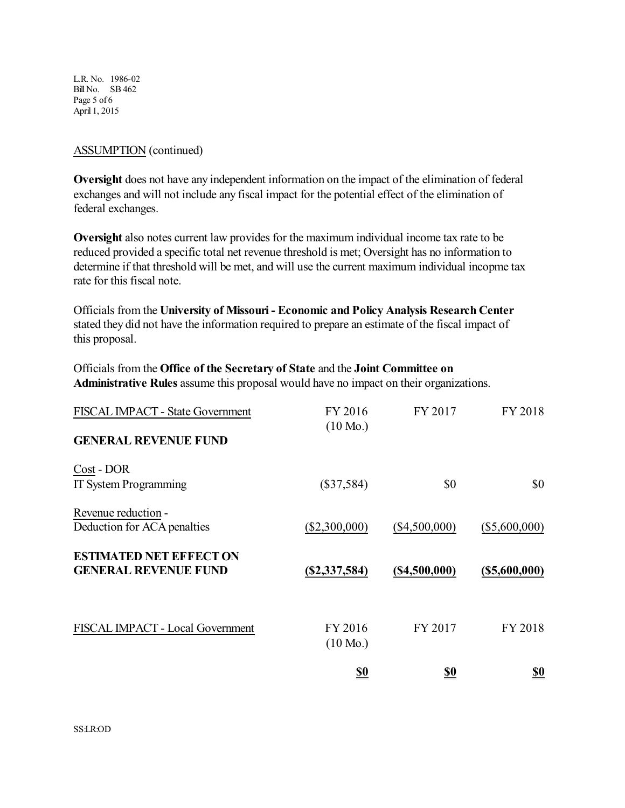L.R. No. 1986-02 BillNo. SB 462 Page 5 of 6 April 1, 2015

#### ASSUMPTION (continued)

**Oversight** does not have any independent information on the impact of the elimination of federal exchanges and will not include any fiscal impact for the potential effect of the elimination of federal exchanges.

**Oversight** also notes current law provides for the maximum individual income tax rate to be reduced provided a specific total net revenue threshold is met; Oversight has no information to determine if that threshold will be met, and will use the current maximum individual incopme tax rate for this fiscal note.

Officials from the **University of Missouri - Economic and Policy Analysis Research Center** stated they did not have the information required to prepare an estimate of the fiscal impact of this proposal.

Officials from the **Office of the Secretary of State** and the **Joint Committee on Administrative Rules** assume this proposal would have no impact on their organizations.

| <b>FISCAL IMPACT - State Government</b>                       | FY 2016<br>$(10 \text{ Mo.})$ | FY 2017          | FY 2018          |
|---------------------------------------------------------------|-------------------------------|------------------|------------------|
| <b>GENERAL REVENUE FUND</b>                                   |                               |                  |                  |
| Cost - DOR<br><b>IT System Programming</b>                    | $(\$37,584)$                  | \$0              | \$0              |
| Revenue reduction -<br>Deduction for ACA penalties            | $(\$2,300,000)$               | $(\$4,500,000)$  | $(\$5,600,000)$  |
| <b>ESTIMATED NET EFFECT ON</b><br><b>GENERAL REVENUE FUND</b> | (S2, 337, 584)                | $($ \$4,500,000) | $($ \$5,600,000) |
| FISCAL IMPACT - Local Government                              | FY 2016<br>$(10 \text{ Mo.})$ | FY 2017          | FY 2018          |
|                                                               | <u>so</u>                     | <u>\$0</u>       | <u>so</u>        |